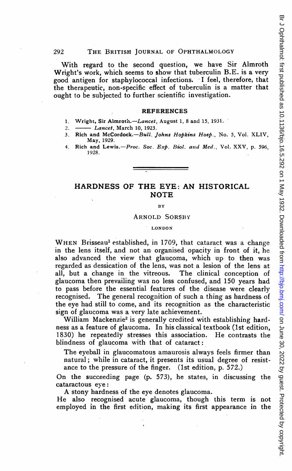With regard to the second question, we have Sir Almroth Wright's work, which seems to show that tuberculin B.E. is a very good antigen for staphylococcal infections. <sup>I</sup> feel, therefore, that the therapeutic, non-specific effect of tuberculin is a matter that ought to be subjected to further scientific investigation.

#### REFERENCES

- 1. Wright, Sir Almroth.-Lancet, August 1, 8 and 15, 1931.
- 2. Lancet, March 10, 1923.
- 3. Rich and McCordock.--Bull. Johns Hopkins Hosp., No. 5, Vol. XLIV, May, 1929.
- 4. Rich and Lewis.-Proc. Soc. Exp. Biol. and Med., Vol. XXV, p. 596, 1928.

# HARDNESS OF THE EYE: AN HISTORICAL **NOTE**

### BY

#### ARNOLD SORSBY

### LONDON

WHEN Brisseau<sup>1</sup> established, in 1709, that cataract was a change in the lens itself, and not an organised opacity in front of it, he also advanced the view that glaucoma, which up to then was regarded as dessication of the lens, was not a lesion of the lens at all, but a change in the vitreous. The clinical conception of glaucoma then prevailing was no less confused, and 150 years had to pass before the essential features of the disease were clearly recognised. The general recognition of such a thing as hardness of the eye had still to come, and its recognition as the characteristic sign of glaucoma was a very late achievement.

William Mackenzie<sup>2</sup> is generally credited with establishing hardness as a feature of glaucoma. In his classical textbook (lst edition, 1830) he repeatedly stresses this association. He contrasts the blindness of glaucoma with that of cataract:

The eyeball in glaucomatous amaurosis always feels firmer than natural; while in cataract, it presents its usual degree of resistance to the pressure of the finger. (lst edition, p. 572.)

On the succeeding page (p. 573), he states, in discussing the cataractous eye:

A stony hardness of the eye denotes glaucoma.

He also recognised acute glaucoma, though this term is not employed in the first edition, making its first appearance in the

292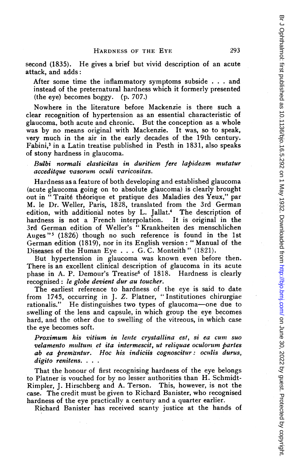second (1835). He gives a brief but vivid description of an acute attack, and adds:

After some time the inflammatory symptoms subside . . . and instead of the preternatural hardness which it formerly presented (the eye) becomes boggy. (p. 707.)

Nowhere in the literature before Mackenzie is there such a clear recognition of hypertension as an essential characteristic of glaucoma, both acute and chronic. But the conception- as a whole was by no means original with Mackenzie. It was, so to speak, very much in the air in the early decades of the 19th century. Fabini,<sup>3</sup> in a Latin treatise published in Pesth in 1831, also speaks of stony hardness in glaucoma.

Bulbi normali elasticitas in duritiem fere labideam mutatur acceditque vasorum oculi varicositas.

Hardness as a feature of both developing and established glaucoma (acute glaucoma going on to absolute glaucoma) is clearly brought out in "Traité théorique et pratique des Maladies des Yeux," par M. le Dr. Weller, Paris, 1828, translated from the 3rd German edition, with additional notes by L. Jallat.<sup>4</sup> The description of hardness is not a French interpolation. It is original in the 3rd German edition of Weller's "Krankheiten des menschlichen Auges "5 (1826) though no such reference is found in the 1st German edition (1819), nor in its English version: "Manual of the Diseases of the Human Eye . . . G. C. Monteith" (1821).

But hypertension in glaucoma was known, even before then. There is an excellent clinical description of glaucoma in its acute phase in A. P. Demour's Treatise<sup>6</sup> of 1818. Hardness is clearly recognised: le globe devient dur au toucher.

The earliest reference to hardness of the eye is said to date from 1745, occurring in J. Z. Platner, " Institutiones chirurgiae rationalis." He distinguishes two types of glaucoma-one due to swelling of the lens and capsule, in which group the eye becomes hard, and the other due to swelling of the vitreous, in which case the eye becomes soft.

Proximum his vitium in lente crystallina est, si ea cum suo velamento multum et ita intermescit, ut reliquae oculorum partes ab ea bremdntur. Hoc his indiciis cognoscitur: oculis durus, digito renitens. . . .

That the honour of first recognising hardness of the eye belongs to Platner is vouched for by no lesser authorities than H. Schmidt-Rimpler, J. Hirschberg and A. Terson. This, however, is not the case. The credit must be given to Richard Banister, who recognised hardness of the eye practically a century and a quarter earlier.

Richard Banister has received scanty justice at the hands of

293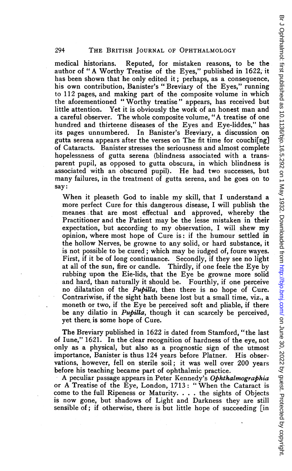medical historians. Reputed, for mistaken reasons, to be the author of " A Worthy Treatise of the Eyes," published in 1622, it has been shown that he only edited it; perhaps, as a consequence, his own contribution, Banister's "Breviary of the Eyes," running to 112 pages, and making part of the composite volume in which the aforementioned "Worthy treatise" appears, has received but little attention. Yet it is obviously the work of an honest man and a careful observer. The whole composite volume, "A treatise of one hundred and thirteene diseases of the Eyes and Eye-liddes," has its pages unnumbered. In Banister's Breviary, a discussion on gutta serena appears after the verses on The fit time for couchi[ng] of Cataracts. Banister stresses the seriousness and almost complete hopelessness of gutta serena (blindness associated with a transparent pupil, as opposed to gutta obscura, in which blindness is associated with an obscured pupil). He had two successes, but many failures, in the treatment of gutta serena, and he goes on to say:

When it pleaseth God to inable my skill, that <sup>I</sup> understand <sup>a</sup> more perfect Cure for this dangerous disease, <sup>I</sup> will publish the meanes that are most effectual and approved, whereby the Practitioner and the Patient may be the lesse mistaken in their expectation, but according to my observation, <sup>I</sup> will shew my opinion, where most hope of Cure is: if the humour settled in the hollow Nerves, be growne to any solid, or hard substance, it is not possible to be cured; which may be iudged of, foure wayes. First, if it be of long continuance. Secondly, if they see no light at all of the sun, fire or candle. Thirdly, if one feele the Eye by rubbing upon the Eie-lids, that the Eye be growne more solid and hard, than naturally it should be. Fourthly, if one perceive no dilatation of the *Pupilla*, then there is no hope of Cure. Contrariwise, if the sight hath beene lost but a small time, viz., a moneth or two, if the Eye be perceived soft and pliable, if there be any dilatio in *Pupilla*, though it can scarcely be perceived, yet there is some hope of Cure.

The Breviary published in 1622 is dated from Stamford, "the last of Iune," 1621. In the clear recognition of hardness of the eye, not only as a physical, but also as a prognostic sign of the utmost importance, Banister is thus 124 years before Platner. His observations, however, fell on sterile soil; it was well over 200 years before his teaching became part of ophthalmic practice.

A peculiar passage appears in Peter Kennedy's Ophthalmographia or A Treatise of the Eye, London, 1713: " When the Cataract is come to the full Ripeness or Maturity. . . . the sights of Objects is now gone, but shadows of Light and Darkness they are still sensible of; if otherwise, there is but little hope of succeeding [in

294